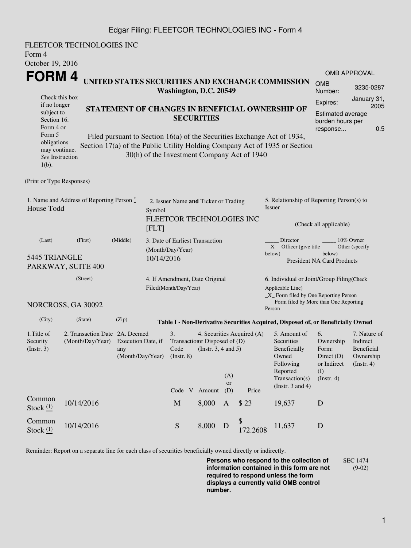## Edgar Filing: FLEETCOR TECHNOLOGIES INC - Form 4

| Form 4<br>October 19, 2016                                                               | FLEETCOR TECHNOLOGIES INC                                            |                                                                |  |                                                                                                                                        |       |                     |                                             |                                                                                                                                                       |                                                                                     |                                                                         |  |
|------------------------------------------------------------------------------------------|----------------------------------------------------------------------|----------------------------------------------------------------|--|----------------------------------------------------------------------------------------------------------------------------------------|-------|---------------------|---------------------------------------------|-------------------------------------------------------------------------------------------------------------------------------------------------------|-------------------------------------------------------------------------------------|-------------------------------------------------------------------------|--|
| FORM 4                                                                                   |                                                                      |                                                                |  |                                                                                                                                        |       |                     |                                             | UNITED STATES SECURITIES AND EXCHANGE COMMISSION                                                                                                      | <b>OMB</b>                                                                          | <b>OMB APPROVAL</b>                                                     |  |
| Check this box                                                                           |                                                                      |                                                                |  | Washington, D.C. 20549                                                                                                                 |       |                     |                                             |                                                                                                                                                       | Number:                                                                             | 3235-0287<br>January 31,                                                |  |
| if no longer<br>subject to<br>Section 16.<br>Form 4 or<br>Form 5                         | STATEMENT OF CHANGES IN BENEFICIAL OWNERSHIP OF<br><b>SECURITIES</b> |                                                                |  |                                                                                                                                        |       |                     |                                             |                                                                                                                                                       | Expires:<br>2005<br><b>Estimated average</b><br>burden hours per<br>0.5<br>response |                                                                         |  |
| obligations<br>may continue.<br>See Instruction<br>$1(b)$ .                              |                                                                      |                                                                |  |                                                                                                                                        |       |                     | 30(h) of the Investment Company Act of 1940 | Filed pursuant to Section 16(a) of the Securities Exchange Act of 1934,<br>Section 17(a) of the Public Utility Holding Company Act of 1935 or Section |                                                                                     |                                                                         |  |
| (Print or Type Responses)                                                                |                                                                      |                                                                |  |                                                                                                                                        |       |                     |                                             |                                                                                                                                                       |                                                                                     |                                                                         |  |
| 1. Name and Address of Reporting Person $\stackrel{*}{\text{-}}$<br>House Todd<br>Symbol |                                                                      |                                                                |  | 2. Issuer Name and Ticker or Trading<br>FLEETCOR TECHNOLOGIES INC                                                                      |       |                     |                                             | 5. Relationship of Reporting Person(s) to<br>Issuer<br>(Check all applicable)                                                                         |                                                                                     |                                                                         |  |
|                                                                                          |                                                                      | [FLT]                                                          |  |                                                                                                                                        |       |                     | Director<br>10% Owner                       |                                                                                                                                                       |                                                                                     |                                                                         |  |
| (Last)<br>(First)<br>(Middle)<br>5445 TRIANGLE<br>PARKWAY, SUITE 400                     |                                                                      |                                                                |  | 3. Date of Earliest Transaction<br>(Month/Day/Year)<br>10/14/2016                                                                      |       |                     |                                             | $X$ Officer (give title $\_\_\_\$ Other (specify<br>below)<br>below)<br><b>President NA Card Products</b>                                             |                                                                                     |                                                                         |  |
| (Street)                                                                                 |                                                                      |                                                                |  | 4. If Amendment, Date Original<br>Filed(Month/Day/Year)                                                                                |       |                     |                                             | 6. Individual or Joint/Group Filing(Check<br>Applicable Line)<br>_X_ Form filed by One Reporting Person                                               |                                                                                     |                                                                         |  |
|                                                                                          | NORCROSS, GA 30092                                                   |                                                                |  |                                                                                                                                        |       |                     |                                             | Form filed by More than One Reporting<br>Person                                                                                                       |                                                                                     |                                                                         |  |
| (City)                                                                                   | (State)                                                              | (Zip)                                                          |  |                                                                                                                                        |       |                     |                                             | Table I - Non-Derivative Securities Acquired, Disposed of, or Beneficially Owned                                                                      |                                                                                     |                                                                         |  |
| 1. Title of<br>Security<br>$($ Instr. 3 $)$                                              | 2. Transaction Date 2A. Deemed                                       | (Month/Day/Year) Execution Date, if<br>any<br>(Month/Day/Year) |  | 3.<br>4. Securities Acquired (A)<br>Transaction Disposed of (D)<br>Code<br>(Instr. $3, 4$ and $5$ )<br>(Insert. 8)<br>(A)<br><b>or</b> |       |                     |                                             | 5. Amount of<br>Securities<br>Beneficially<br>Owned<br>Following<br>Reported<br>Transaction(s)<br>(Instr. $3$ and $4$ )                               | 6.<br>Ownership<br>Form:<br>Direct $(D)$<br>or Indirect<br>(I)<br>(Insert. 4)       | 7. Nature of<br>Indirect<br>Beneficial<br>Ownership<br>$($ Instr. 4 $)$ |  |
| Common<br>Stock $(1)$                                                                    | 10/14/2016                                                           |                                                                |  | Code V Amount<br>M                                                                                                                     | 8,000 | (D)<br>$\mathbf{A}$ | Price<br>\$23                               | 19,637                                                                                                                                                | D                                                                                   |                                                                         |  |
| Common<br>Stock $(1)$                                                                    | 10/14/2016                                                           |                                                                |  | ${\mathbf S}$                                                                                                                          | 8,000 | D                   | \$<br>172.2608                              | 11,637                                                                                                                                                | $\mathbf D$                                                                         |                                                                         |  |

Reminder: Report on a separate line for each class of securities beneficially owned directly or indirectly.

**Persons who respond to the collection of information contained in this form are not required to respond unless the form displays a currently valid OMB control number.** SEC 1474 (9-02)